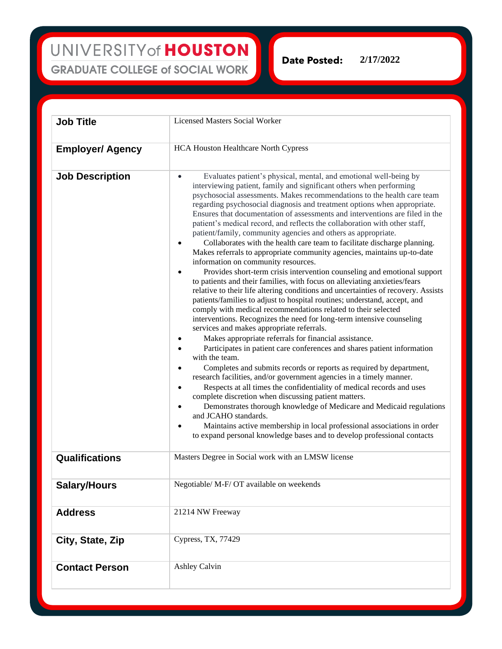**Date Posted:** 

**2/17/2022**

| <b>Job Title</b>        | <b>Licensed Masters Social Worker</b>                                                                                                                                                                                                                                                                                                                                                                                                                                                                                                                                                                                                                                                                                                                                                                                                                                                                                                                                                                                                                                                                                                                                                                                                                                                                                                                                                                                                                                                                                                                                                                                                                                                                                                                                                                                                                                                                                                                                                                                        |
|-------------------------|------------------------------------------------------------------------------------------------------------------------------------------------------------------------------------------------------------------------------------------------------------------------------------------------------------------------------------------------------------------------------------------------------------------------------------------------------------------------------------------------------------------------------------------------------------------------------------------------------------------------------------------------------------------------------------------------------------------------------------------------------------------------------------------------------------------------------------------------------------------------------------------------------------------------------------------------------------------------------------------------------------------------------------------------------------------------------------------------------------------------------------------------------------------------------------------------------------------------------------------------------------------------------------------------------------------------------------------------------------------------------------------------------------------------------------------------------------------------------------------------------------------------------------------------------------------------------------------------------------------------------------------------------------------------------------------------------------------------------------------------------------------------------------------------------------------------------------------------------------------------------------------------------------------------------------------------------------------------------------------------------------------------------|
| <b>Employer/ Agency</b> | <b>HCA Houston Healthcare North Cypress</b>                                                                                                                                                                                                                                                                                                                                                                                                                                                                                                                                                                                                                                                                                                                                                                                                                                                                                                                                                                                                                                                                                                                                                                                                                                                                                                                                                                                                                                                                                                                                                                                                                                                                                                                                                                                                                                                                                                                                                                                  |
| <b>Job Description</b>  | Evaluates patient's physical, mental, and emotional well-being by<br>$\bullet$<br>interviewing patient, family and significant others when performing<br>psychosocial assessments. Makes recommendations to the health care team<br>regarding psychosocial diagnosis and treatment options when appropriate.<br>Ensures that documentation of assessments and interventions are filed in the<br>patient's medical record, and reflects the collaboration with other staff,<br>patient/family, community agencies and others as appropriate.<br>Collaborates with the health care team to facilitate discharge planning.<br>Makes referrals to appropriate community agencies, maintains up-to-date<br>information on community resources.<br>Provides short-term crisis intervention counseling and emotional support<br>$\bullet$<br>to patients and their families, with focus on alleviating anxieties/fears<br>relative to their life altering conditions and uncertainties of recovery. Assists<br>patients/families to adjust to hospital routines; understand, accept, and<br>comply with medical recommendations related to their selected<br>interventions. Recognizes the need for long-term intensive counseling<br>services and makes appropriate referrals.<br>Makes appropriate referrals for financial assistance.<br>Participates in patient care conferences and shares patient information<br>$\bullet$<br>with the team.<br>Completes and submits records or reports as required by department,<br>٠<br>research facilities, and/or government agencies in a timely manner.<br>Respects at all times the confidentiality of medical records and uses<br>$\bullet$<br>complete discretion when discussing patient matters.<br>Demonstrates thorough knowledge of Medicare and Medicaid regulations<br>$\bullet$<br>and JCAHO standards.<br>Maintains active membership in local professional associations in order<br>$\bullet$<br>to expand personal knowledge bases and to develop professional contacts |
| Qualifications          | Masters Degree in Social work with an LMSW license                                                                                                                                                                                                                                                                                                                                                                                                                                                                                                                                                                                                                                                                                                                                                                                                                                                                                                                                                                                                                                                                                                                                                                                                                                                                                                                                                                                                                                                                                                                                                                                                                                                                                                                                                                                                                                                                                                                                                                           |
| <b>Salary/Hours</b>     | Negotiable/ M-F/ OT available on weekends                                                                                                                                                                                                                                                                                                                                                                                                                                                                                                                                                                                                                                                                                                                                                                                                                                                                                                                                                                                                                                                                                                                                                                                                                                                                                                                                                                                                                                                                                                                                                                                                                                                                                                                                                                                                                                                                                                                                                                                    |
| <b>Address</b>          | 21214 NW Freeway                                                                                                                                                                                                                                                                                                                                                                                                                                                                                                                                                                                                                                                                                                                                                                                                                                                                                                                                                                                                                                                                                                                                                                                                                                                                                                                                                                                                                                                                                                                                                                                                                                                                                                                                                                                                                                                                                                                                                                                                             |
| City, State, Zip        | Cypress, TX, 77429                                                                                                                                                                                                                                                                                                                                                                                                                                                                                                                                                                                                                                                                                                                                                                                                                                                                                                                                                                                                                                                                                                                                                                                                                                                                                                                                                                                                                                                                                                                                                                                                                                                                                                                                                                                                                                                                                                                                                                                                           |
| <b>Contact Person</b>   | <b>Ashley Calvin</b>                                                                                                                                                                                                                                                                                                                                                                                                                                                                                                                                                                                                                                                                                                                                                                                                                                                                                                                                                                                                                                                                                                                                                                                                                                                                                                                                                                                                                                                                                                                                                                                                                                                                                                                                                                                                                                                                                                                                                                                                         |